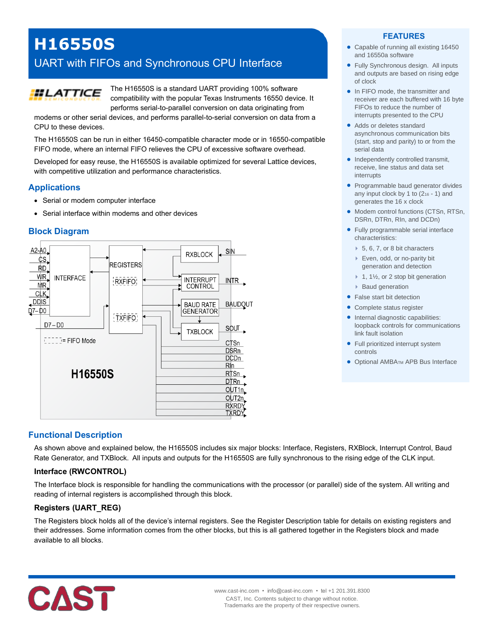# **H16550S**

# UART with FIFOs and Synchronous CPU Interface



The H16550S is a standard UART providing 100% software compatibility with the popular Texas Instruments 16550 device. It performs serial-to-parallel conversion on data originating from

modems or other serial devices, and performs parallel-to-serial conversion on data from a CPU to these devices.

The H16550S can be run in either 16450-compatible character mode or in 16550-compatible FIFO mode, where an internal FIFO relieves the CPU of excessive software overhead.

Developed for easy reuse, the H16550S is available optimized for several Lattice devices, with competitive utilization and performance characteristics.

# **Applications**

- Serial or modem computer interface
- Serial interface within modems and other devices

# **Block Diagram**



# **Functional Description**

As shown above and explained below, the H16550S includes six major blocks: Interface, Registers, RXBlock, Interrupt Control, Baud Rate Generator, and TXBlock. All inputs and outputs for the H16550S are fully synchronous to the rising edge of the CLK input.

#### **Interface (RWCONTROL)**

The Interface block is responsible for handling the communications with the processor (or parallel) side of the system. All writing and reading of internal registers is accomplished through this block.

# **Registers (UART\_REG)**

The Registers block holds all of the device's internal registers. See the Register Description table for details on existing registers and their addresses. Some information comes from the other blocks, but this is all gathered together in the Registers block and made available to all blocks.



#### **FEATURES**

- Capable of running all existing 16450 and 16550a software
- Fully Synchronous design. All inputs and outputs are based on rising edge of clock
- In FIFO mode, the transmitter and receiver are each buffered with 16 byte FIFOs to reduce the number of interrupts presented to the CPU
- Adds or deletes standard asynchronous communication bits (start, stop and parity) to or from the serial data
- Independently controlled transmit, receive, line status and data set interrupts
- Programmable baud generator divides any input clock by 1 to  $(2_{16} - 1)$  and generates the 16 x clock
- Modem control functions (CTSn, RTSn, DSRn, DTRn, RIn, and DCDn)
- Fully programmable serial interface characteristics:
	- ▶ 5, 6, 7, or 8 bit characters
	- ▶ Even, odd, or no-parity bit generation and detection
	- $\blacktriangleright$  1, 1½, or 2 stop bit generation
	- Baud generation
- False start bit detection
- Complete status register
- Internal diagnostic capabilities: loopback controls for communications link fault isolation
- Full prioritized interrupt system controls
- Optional AMBATM APB Bus Interface